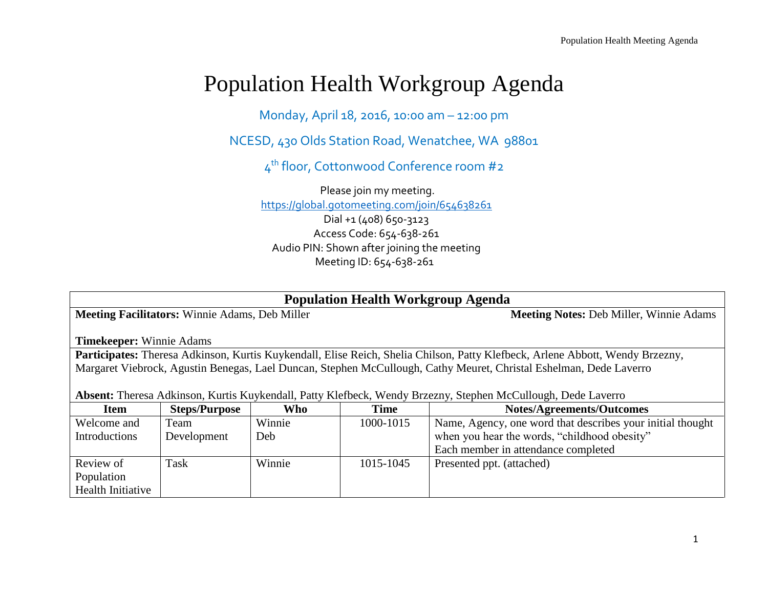## Population Health Workgroup Agenda

Monday, April 18, 2016, 10:00 am – 12:00 pm

NCESD, 430 Olds Station Road, Wenatchee, WA 98801

4 th floor, Cottonwood Conference room #2

Please join my meeting. <https://global.gotomeeting.com/join/654638261> Dial +1 (408) 650-3123 Access Code: 654-638-261 Audio PIN: Shown after joining the meeting Meeting ID: 654-638-261

| <b>Population Health Workgroup Agenda</b>                                                                                     |                      |        |             |                                                            |  |  |  |  |
|-------------------------------------------------------------------------------------------------------------------------------|----------------------|--------|-------------|------------------------------------------------------------|--|--|--|--|
| <b>Meeting Facilitators: Winnie Adams, Deb Miller</b>                                                                         |                      |        |             | <b>Meeting Notes: Deb Miller, Winnie Adams</b>             |  |  |  |  |
|                                                                                                                               |                      |        |             |                                                            |  |  |  |  |
| <b>Timekeeper:</b> Winnie Adams                                                                                               |                      |        |             |                                                            |  |  |  |  |
| Participates: Theresa Adkinson, Kurtis Kuykendall, Elise Reich, Shelia Chilson, Patty Klefbeck, Arlene Abbott, Wendy Brzezny, |                      |        |             |                                                            |  |  |  |  |
| Margaret Viebrock, Agustin Benegas, Lael Duncan, Stephen McCullough, Cathy Meuret, Christal Eshelman, Dede Laverro            |                      |        |             |                                                            |  |  |  |  |
|                                                                                                                               |                      |        |             |                                                            |  |  |  |  |
| Absent: Theresa Adkinson, Kurtis Kuykendall, Patty Klefbeck, Wendy Brzezny, Stephen McCullough, Dede Laverro                  |                      |        |             |                                                            |  |  |  |  |
| <b>Item</b>                                                                                                                   | <b>Steps/Purpose</b> | Who    | <b>Time</b> | <b>Notes/Agreements/Outcomes</b>                           |  |  |  |  |
| Welcome and                                                                                                                   | Team                 | Winnie | 1000-1015   | Name, Agency, one word that describes your initial thought |  |  |  |  |
| <b>Introductions</b>                                                                                                          | Development          | Deb    |             | when you hear the words, "childhood obesity"               |  |  |  |  |
|                                                                                                                               |                      |        |             | Each member in attendance completed                        |  |  |  |  |
| Review of                                                                                                                     | Task                 | Winnie | 1015-1045   | Presented ppt. (attached)                                  |  |  |  |  |
| Population                                                                                                                    |                      |        |             |                                                            |  |  |  |  |
| Health Initiative                                                                                                             |                      |        |             |                                                            |  |  |  |  |